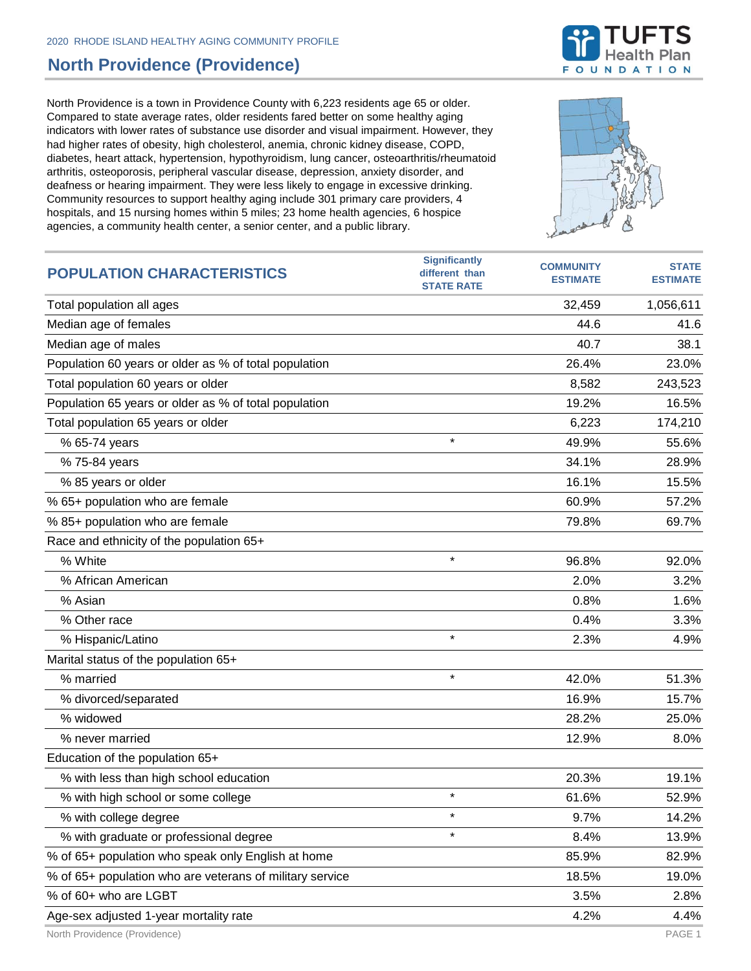## **North Providence (Providence)**

North Providence is a town in Providence County with 6,223 residents age 65 or older. Compared to state average rates, older residents fared better on some healthy aging indicators with lower rates of substance use disorder and visual impairment. However, they had higher rates of obesity, high cholesterol, anemia, chronic kidney disease, COPD, diabetes, heart attack, hypertension, hypothyroidism, lung cancer, osteoarthritis/rheumatoid arthritis, osteoporosis, peripheral vascular disease, depression, anxiety disorder, and deafness or hearing impairment. They were less likely to engage in excessive drinking. Community resources to support healthy aging include 301 primary care providers, 4 hospitals, and 15 nursing homes within 5 miles; 23 home health agencies, 6 hospice agencies, a community health center, a senior center, and a public library.



| <b>POPULATION CHARACTERISTICS</b>                        | <b>Significantly</b><br>different than<br><b>STATE RATE</b> | <b>COMMUNITY</b><br><b>ESTIMATE</b> | <b>STATE</b><br><b>ESTIMATE</b> |
|----------------------------------------------------------|-------------------------------------------------------------|-------------------------------------|---------------------------------|
| Total population all ages                                |                                                             | 32,459                              | 1,056,611                       |
| Median age of females                                    |                                                             | 44.6                                | 41.6                            |
| Median age of males                                      |                                                             | 40.7                                | 38.1                            |
| Population 60 years or older as % of total population    |                                                             | 26.4%                               | 23.0%                           |
| Total population 60 years or older                       |                                                             | 8,582                               | 243,523                         |
| Population 65 years or older as % of total population    |                                                             | 19.2%                               | 16.5%                           |
| Total population 65 years or older                       |                                                             | 6,223                               | 174,210                         |
| % 65-74 years                                            | $\star$                                                     | 49.9%                               | 55.6%                           |
| % 75-84 years                                            |                                                             | 34.1%                               | 28.9%                           |
| % 85 years or older                                      |                                                             | 16.1%                               | 15.5%                           |
| % 65+ population who are female                          |                                                             | 60.9%                               | 57.2%                           |
| % 85+ population who are female                          |                                                             | 79.8%                               | 69.7%                           |
| Race and ethnicity of the population 65+                 |                                                             |                                     |                                 |
| % White                                                  | $\star$                                                     | 96.8%                               | 92.0%                           |
| % African American                                       |                                                             | 2.0%                                | 3.2%                            |
| % Asian                                                  |                                                             | 0.8%                                | 1.6%                            |
| % Other race                                             |                                                             | 0.4%                                | 3.3%                            |
| % Hispanic/Latino                                        | $\star$                                                     | 2.3%                                | 4.9%                            |
| Marital status of the population 65+                     |                                                             |                                     |                                 |
| % married                                                | $\star$                                                     | 42.0%                               | 51.3%                           |
| % divorced/separated                                     |                                                             | 16.9%                               | 15.7%                           |
| % widowed                                                |                                                             | 28.2%                               | 25.0%                           |
| % never married                                          |                                                             | 12.9%                               | 8.0%                            |
| Education of the population 65+                          |                                                             |                                     |                                 |
| % with less than high school education                   |                                                             | 20.3%                               | 19.1%                           |
| % with high school or some college                       |                                                             | 61.6%                               | 52.9%                           |
| % with college degree                                    | $\star$                                                     | 9.7%                                | 14.2%                           |
| % with graduate or professional degree                   | $\star$                                                     | 8.4%                                | 13.9%                           |
| % of 65+ population who speak only English at home       |                                                             | 85.9%                               | 82.9%                           |
| % of 65+ population who are veterans of military service |                                                             | 18.5%                               | 19.0%                           |
| % of 60+ who are LGBT                                    |                                                             | 3.5%                                | 2.8%                            |
| Age-sex adjusted 1-year mortality rate                   |                                                             | 4.2%                                | 4.4%                            |

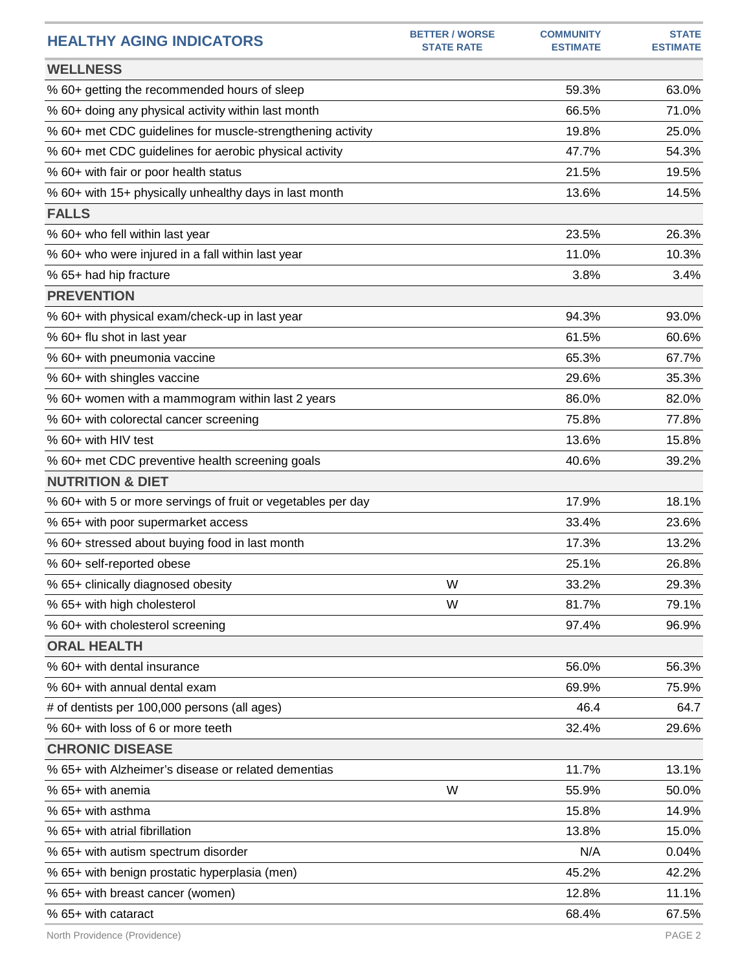| <b>HEALTHY AGING INDICATORS</b>                              | <b>BETTER / WORSE</b><br><b>STATE RATE</b> | <b>COMMUNITY</b><br><b>ESTIMATE</b> | <b>STATE</b><br><b>ESTIMATE</b> |
|--------------------------------------------------------------|--------------------------------------------|-------------------------------------|---------------------------------|
| <b>WELLNESS</b>                                              |                                            |                                     |                                 |
| % 60+ getting the recommended hours of sleep                 |                                            | 59.3%                               | 63.0%                           |
| % 60+ doing any physical activity within last month          |                                            | 66.5%                               | 71.0%                           |
| % 60+ met CDC guidelines for muscle-strengthening activity   |                                            | 19.8%                               | 25.0%                           |
| % 60+ met CDC guidelines for aerobic physical activity       |                                            | 47.7%                               | 54.3%                           |
| % 60+ with fair or poor health status                        |                                            | 21.5%                               | 19.5%                           |
| % 60+ with 15+ physically unhealthy days in last month       |                                            | 13.6%                               | 14.5%                           |
| <b>FALLS</b>                                                 |                                            |                                     |                                 |
| % 60+ who fell within last year                              |                                            | 23.5%                               | 26.3%                           |
| % 60+ who were injured in a fall within last year            |                                            | 11.0%                               | 10.3%                           |
| % 65+ had hip fracture                                       |                                            | 3.8%                                | 3.4%                            |
| <b>PREVENTION</b>                                            |                                            |                                     |                                 |
| % 60+ with physical exam/check-up in last year               |                                            | 94.3%                               | 93.0%                           |
| % 60+ flu shot in last year                                  |                                            | 61.5%                               | 60.6%                           |
| % 60+ with pneumonia vaccine                                 |                                            | 65.3%                               | 67.7%                           |
| % 60+ with shingles vaccine                                  |                                            | 29.6%                               | 35.3%                           |
| % 60+ women with a mammogram within last 2 years             |                                            | 86.0%                               | 82.0%                           |
| % 60+ with colorectal cancer screening                       |                                            | 75.8%                               | 77.8%                           |
| % 60+ with HIV test                                          |                                            | 13.6%                               | 15.8%                           |
| % 60+ met CDC preventive health screening goals              |                                            | 40.6%                               | 39.2%                           |
| <b>NUTRITION &amp; DIET</b>                                  |                                            |                                     |                                 |
| % 60+ with 5 or more servings of fruit or vegetables per day |                                            | 17.9%                               | 18.1%                           |
| % 65+ with poor supermarket access                           |                                            | 33.4%                               | 23.6%                           |
| % 60+ stressed about buying food in last month               |                                            | 17.3%                               | 13.2%                           |
| % 60+ self-reported obese                                    |                                            | 25.1%                               | 26.8%                           |
| % 65+ clinically diagnosed obesity                           | W                                          | 33.2%                               | 29.3%                           |
| % 65+ with high cholesterol                                  | W                                          | 81.7%                               | 79.1%                           |
| % 60+ with cholesterol screening                             |                                            | 97.4%                               | 96.9%                           |
| <b>ORAL HEALTH</b>                                           |                                            |                                     |                                 |
| % 60+ with dental insurance                                  |                                            | 56.0%                               | 56.3%                           |
| % 60+ with annual dental exam                                |                                            | 69.9%                               | 75.9%                           |
| # of dentists per 100,000 persons (all ages)                 |                                            | 46.4                                | 64.7                            |
| % 60+ with loss of 6 or more teeth                           |                                            | 32.4%                               | 29.6%                           |
| <b>CHRONIC DISEASE</b>                                       |                                            |                                     |                                 |
| % 65+ with Alzheimer's disease or related dementias          |                                            | 11.7%                               | 13.1%                           |
| % 65+ with anemia                                            | W                                          | 55.9%                               | 50.0%                           |
| % 65+ with asthma                                            |                                            | 15.8%                               | 14.9%                           |
| % 65+ with atrial fibrillation                               |                                            | 13.8%                               | 15.0%                           |
| % 65+ with autism spectrum disorder                          |                                            | N/A                                 | 0.04%                           |
| % 65+ with benign prostatic hyperplasia (men)                |                                            | 45.2%                               | 42.2%                           |
| % 65+ with breast cancer (women)                             |                                            | 12.8%                               | 11.1%                           |
| % 65+ with cataract                                          |                                            | 68.4%                               | 67.5%                           |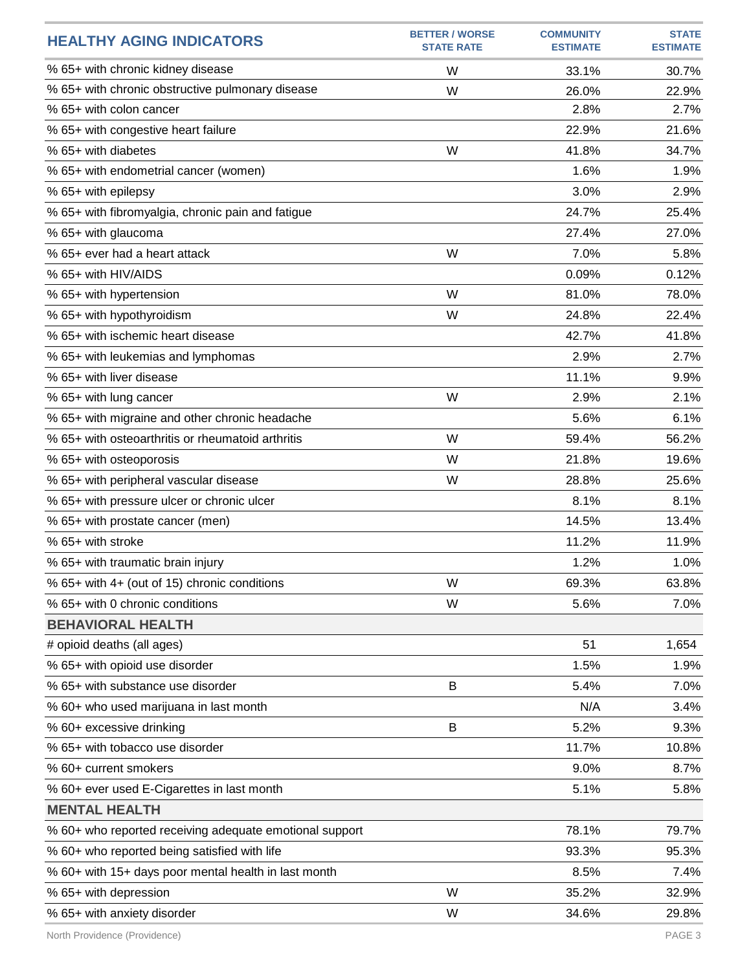| <b>HEALTHY AGING INDICATORS</b>                         | <b>BETTER / WORSE</b><br><b>STATE RATE</b> | <b>COMMUNITY</b><br><b>ESTIMATE</b> | <b>STATE</b><br><b>ESTIMATE</b> |
|---------------------------------------------------------|--------------------------------------------|-------------------------------------|---------------------------------|
| % 65+ with chronic kidney disease                       | W                                          | 33.1%                               | 30.7%                           |
| % 65+ with chronic obstructive pulmonary disease        | W                                          | 26.0%                               | 22.9%                           |
| % 65+ with colon cancer                                 |                                            | 2.8%                                | 2.7%                            |
| % 65+ with congestive heart failure                     |                                            | 22.9%                               | 21.6%                           |
| % 65+ with diabetes                                     | W                                          | 41.8%                               | 34.7%                           |
| % 65+ with endometrial cancer (women)                   |                                            | 1.6%                                | 1.9%                            |
| % 65+ with epilepsy                                     |                                            | 3.0%                                | 2.9%                            |
| % 65+ with fibromyalgia, chronic pain and fatigue       |                                            | 24.7%                               | 25.4%                           |
| % 65+ with glaucoma                                     |                                            | 27.4%                               | 27.0%                           |
| % 65+ ever had a heart attack                           | W                                          | 7.0%                                | 5.8%                            |
| % 65+ with HIV/AIDS                                     |                                            | 0.09%                               | 0.12%                           |
| % 65+ with hypertension                                 | W                                          | 81.0%                               | 78.0%                           |
| % 65+ with hypothyroidism                               | W                                          | 24.8%                               | 22.4%                           |
| % 65+ with ischemic heart disease                       |                                            | 42.7%                               | 41.8%                           |
| % 65+ with leukemias and lymphomas                      |                                            | 2.9%                                | 2.7%                            |
| % 65+ with liver disease                                |                                            | 11.1%                               | 9.9%                            |
| % 65+ with lung cancer                                  | W                                          | 2.9%                                | 2.1%                            |
| % 65+ with migraine and other chronic headache          |                                            | 5.6%                                | 6.1%                            |
| % 65+ with osteoarthritis or rheumatoid arthritis       | W                                          | 59.4%                               | 56.2%                           |
| % 65+ with osteoporosis                                 | W                                          | 21.8%                               | 19.6%                           |
| % 65+ with peripheral vascular disease                  | W                                          | 28.8%                               | 25.6%                           |
| % 65+ with pressure ulcer or chronic ulcer              |                                            | 8.1%                                | 8.1%                            |
| % 65+ with prostate cancer (men)                        |                                            | 14.5%                               | 13.4%                           |
| % 65+ with stroke                                       |                                            | 11.2%                               | 11.9%                           |
| % 65+ with traumatic brain injury                       |                                            | 1.2%                                | 1.0%                            |
| % 65+ with 4+ (out of 15) chronic conditions            | W                                          | 69.3%                               | 63.8%                           |
| % 65+ with 0 chronic conditions                         | W                                          | 5.6%                                | 7.0%                            |
| <b>BEHAVIORAL HEALTH</b>                                |                                            |                                     |                                 |
| # opioid deaths (all ages)                              |                                            | 51                                  | 1,654                           |
| % 65+ with opioid use disorder                          |                                            | 1.5%                                | 1.9%                            |
| % 65+ with substance use disorder                       | B                                          | 5.4%                                | 7.0%                            |
| % 60+ who used marijuana in last month                  |                                            | N/A                                 | 3.4%                            |
| % 60+ excessive drinking                                | B                                          | 5.2%                                | 9.3%                            |
| % 65+ with tobacco use disorder                         |                                            | 11.7%                               | 10.8%                           |
| % 60+ current smokers                                   |                                            | 9.0%                                | 8.7%                            |
| % 60+ ever used E-Cigarettes in last month              |                                            | 5.1%                                | 5.8%                            |
| <b>MENTAL HEALTH</b>                                    |                                            |                                     |                                 |
| % 60+ who reported receiving adequate emotional support |                                            | 78.1%                               | 79.7%                           |
| % 60+ who reported being satisfied with life            |                                            | 93.3%                               | 95.3%                           |
| % 60+ with 15+ days poor mental health in last month    |                                            | 8.5%                                | 7.4%                            |
| % 65+ with depression                                   | W                                          | 35.2%                               | 32.9%                           |
| % 65+ with anxiety disorder                             | W                                          | 34.6%                               | 29.8%                           |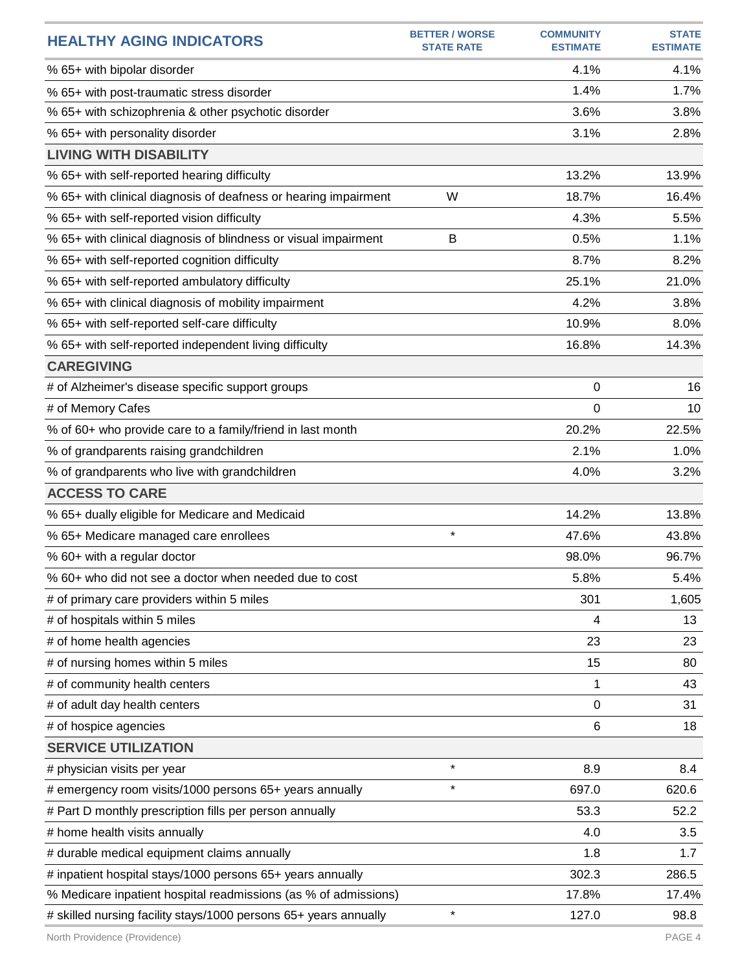| <b>HEALTHY AGING INDICATORS</b>                                  | <b>BETTER / WORSE</b><br><b>STATE RATE</b> | <b>COMMUNITY</b><br><b>ESTIMATE</b> | <b>STATE</b><br><b>ESTIMATE</b> |
|------------------------------------------------------------------|--------------------------------------------|-------------------------------------|---------------------------------|
| % 65+ with bipolar disorder                                      |                                            | 4.1%                                | 4.1%                            |
| % 65+ with post-traumatic stress disorder                        |                                            | 1.4%                                | 1.7%                            |
| % 65+ with schizophrenia & other psychotic disorder              |                                            | 3.6%                                | 3.8%                            |
| % 65+ with personality disorder                                  |                                            | 3.1%                                | 2.8%                            |
| <b>LIVING WITH DISABILITY</b>                                    |                                            |                                     |                                 |
| % 65+ with self-reported hearing difficulty                      |                                            | 13.2%                               | 13.9%                           |
| % 65+ with clinical diagnosis of deafness or hearing impairment  | W                                          | 18.7%                               | 16.4%                           |
| % 65+ with self-reported vision difficulty                       |                                            | 4.3%                                | 5.5%                            |
| % 65+ with clinical diagnosis of blindness or visual impairment  | B                                          | 0.5%                                | 1.1%                            |
| % 65+ with self-reported cognition difficulty                    |                                            | 8.7%                                | 8.2%                            |
| % 65+ with self-reported ambulatory difficulty                   |                                            | 25.1%                               | 21.0%                           |
| % 65+ with clinical diagnosis of mobility impairment             |                                            | 4.2%                                | 3.8%                            |
| % 65+ with self-reported self-care difficulty                    |                                            | 10.9%                               | 8.0%                            |
| % 65+ with self-reported independent living difficulty           |                                            | 16.8%                               | 14.3%                           |
| <b>CAREGIVING</b>                                                |                                            |                                     |                                 |
| # of Alzheimer's disease specific support groups                 |                                            | 0                                   | 16                              |
| # of Memory Cafes                                                |                                            | 0                                   | 10                              |
| % of 60+ who provide care to a family/friend in last month       |                                            | 20.2%                               | 22.5%                           |
| % of grandparents raising grandchildren                          |                                            | 2.1%                                | 1.0%                            |
| % of grandparents who live with grandchildren                    |                                            | 4.0%                                | 3.2%                            |
| <b>ACCESS TO CARE</b>                                            |                                            |                                     |                                 |
| % 65+ dually eligible for Medicare and Medicaid                  |                                            | 14.2%                               | 13.8%                           |
| % 65+ Medicare managed care enrollees                            | $\star$                                    | 47.6%                               | 43.8%                           |
| % 60+ with a regular doctor                                      |                                            | 98.0%                               | 96.7%                           |
| % 60+ who did not see a doctor when needed due to cost           |                                            | 5.8%                                | 5.4%                            |
| # of primary care providers within 5 miles                       |                                            | 301                                 | 1,605                           |
| # of hospitals within 5 miles                                    |                                            | 4                                   | 13                              |
| # of home health agencies                                        |                                            | 23                                  | 23                              |
| # of nursing homes within 5 miles                                |                                            | 15                                  | 80                              |
| # of community health centers                                    |                                            | 1                                   | 43                              |
| # of adult day health centers                                    |                                            | 0                                   | 31                              |
| # of hospice agencies                                            |                                            | 6                                   | 18                              |
| <b>SERVICE UTILIZATION</b>                                       |                                            |                                     |                                 |
| # physician visits per year                                      | $\star$                                    | 8.9                                 | 8.4                             |
| # emergency room visits/1000 persons 65+ years annually          | $\star$                                    | 697.0                               | 620.6                           |
| # Part D monthly prescription fills per person annually          |                                            | 53.3                                | 52.2                            |
| # home health visits annually                                    |                                            | 4.0                                 | 3.5                             |
| # durable medical equipment claims annually                      |                                            | 1.8                                 | 1.7                             |
| # inpatient hospital stays/1000 persons 65+ years annually       |                                            | 302.3                               | 286.5                           |
| % Medicare inpatient hospital readmissions (as % of admissions)  |                                            | 17.8%                               | 17.4%                           |
| # skilled nursing facility stays/1000 persons 65+ years annually | $\star$                                    | 127.0                               | 98.8                            |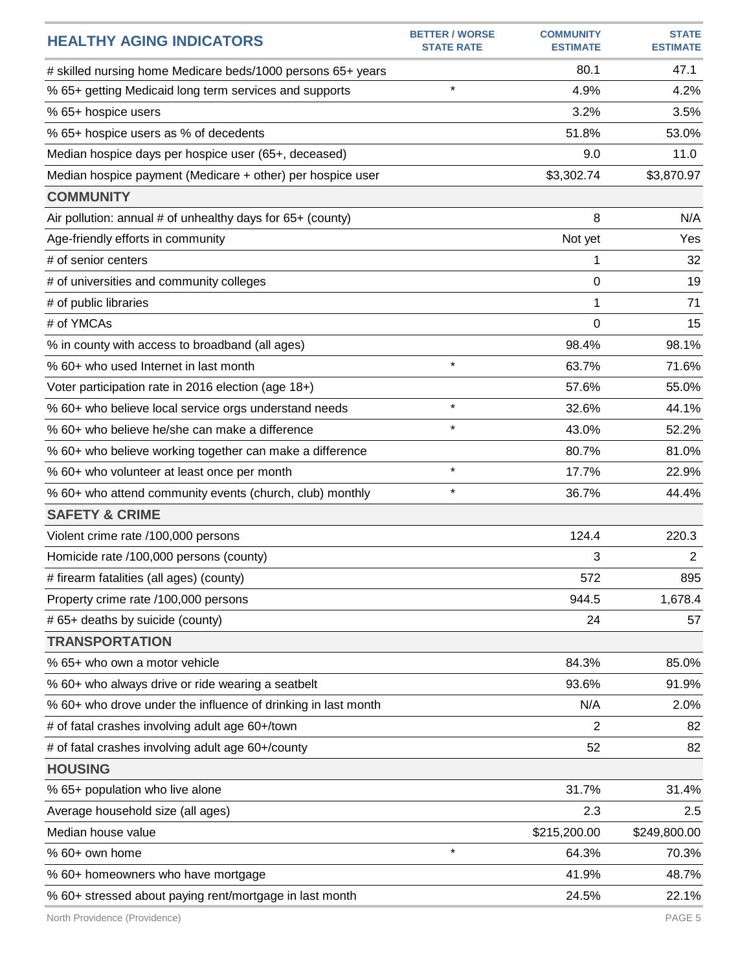| <b>HEALTHY AGING INDICATORS</b>                               | <b>BETTER / WORSE</b><br><b>STATE RATE</b> | <b>COMMUNITY</b><br><b>ESTIMATE</b> | <b>STATE</b><br><b>ESTIMATE</b> |
|---------------------------------------------------------------|--------------------------------------------|-------------------------------------|---------------------------------|
| # skilled nursing home Medicare beds/1000 persons 65+ years   |                                            | 80.1                                | 47.1                            |
| % 65+ getting Medicaid long term services and supports        | $\star$                                    | 4.9%                                | 4.2%                            |
| % 65+ hospice users                                           |                                            | 3.2%                                | 3.5%                            |
| % 65+ hospice users as % of decedents                         |                                            | 51.8%                               | 53.0%                           |
| Median hospice days per hospice user (65+, deceased)          |                                            | 9.0                                 | 11.0                            |
| Median hospice payment (Medicare + other) per hospice user    |                                            | \$3,302.74                          | \$3,870.97                      |
| <b>COMMUNITY</b>                                              |                                            |                                     |                                 |
| Air pollution: annual # of unhealthy days for 65+ (county)    |                                            | 8                                   | N/A                             |
| Age-friendly efforts in community                             |                                            | Not yet                             | Yes                             |
| # of senior centers                                           |                                            | 1                                   | 32                              |
| # of universities and community colleges                      |                                            | 0                                   | 19                              |
| # of public libraries                                         |                                            | 1                                   | 71                              |
| # of YMCAs                                                    |                                            | 0                                   | 15                              |
| % in county with access to broadband (all ages)               |                                            | 98.4%                               | 98.1%                           |
| % 60+ who used Internet in last month                         | $\star$                                    | 63.7%                               | 71.6%                           |
| Voter participation rate in 2016 election (age 18+)           |                                            | 57.6%                               | 55.0%                           |
| % 60+ who believe local service orgs understand needs         | $\star$                                    | 32.6%                               | 44.1%                           |
| % 60+ who believe he/she can make a difference                | $\star$                                    | 43.0%                               | 52.2%                           |
| % 60+ who believe working together can make a difference      |                                            | 80.7%                               | 81.0%                           |
| % 60+ who volunteer at least once per month                   | $\star$                                    | 17.7%                               | 22.9%                           |
| % 60+ who attend community events (church, club) monthly      | $\star$                                    | 36.7%                               | 44.4%                           |
| <b>SAFETY &amp; CRIME</b>                                     |                                            |                                     |                                 |
| Violent crime rate /100,000 persons                           |                                            | 124.4                               | 220.3                           |
| Homicide rate /100,000 persons (county)                       |                                            | 3                                   | $\overline{2}$                  |
| # firearm fatalities (all ages) (county)                      |                                            | 572                                 | 895                             |
| Property crime rate /100,000 persons                          |                                            | 944.5                               | 1,678.4                         |
| # 65+ deaths by suicide (county)                              |                                            | 24                                  | 57                              |
| <b>TRANSPORTATION</b>                                         |                                            |                                     |                                 |
| % 65+ who own a motor vehicle                                 |                                            | 84.3%                               | 85.0%                           |
| % 60+ who always drive or ride wearing a seatbelt             |                                            | 93.6%                               | 91.9%                           |
| % 60+ who drove under the influence of drinking in last month |                                            | N/A                                 | 2.0%                            |
| # of fatal crashes involving adult age 60+/town               |                                            | $\overline{2}$                      | 82                              |
| # of fatal crashes involving adult age 60+/county             |                                            | 52                                  | 82                              |
| <b>HOUSING</b>                                                |                                            |                                     |                                 |
| % 65+ population who live alone                               |                                            | 31.7%                               | 31.4%                           |
| Average household size (all ages)                             |                                            | 2.3                                 | 2.5                             |
| Median house value                                            |                                            | \$215,200.00                        | \$249,800.00                    |
| % 60+ own home                                                | $\star$                                    | 64.3%                               | 70.3%                           |
| % 60+ homeowners who have mortgage                            |                                            | 41.9%                               | 48.7%                           |
| % 60+ stressed about paying rent/mortgage in last month       |                                            | 24.5%                               | 22.1%                           |